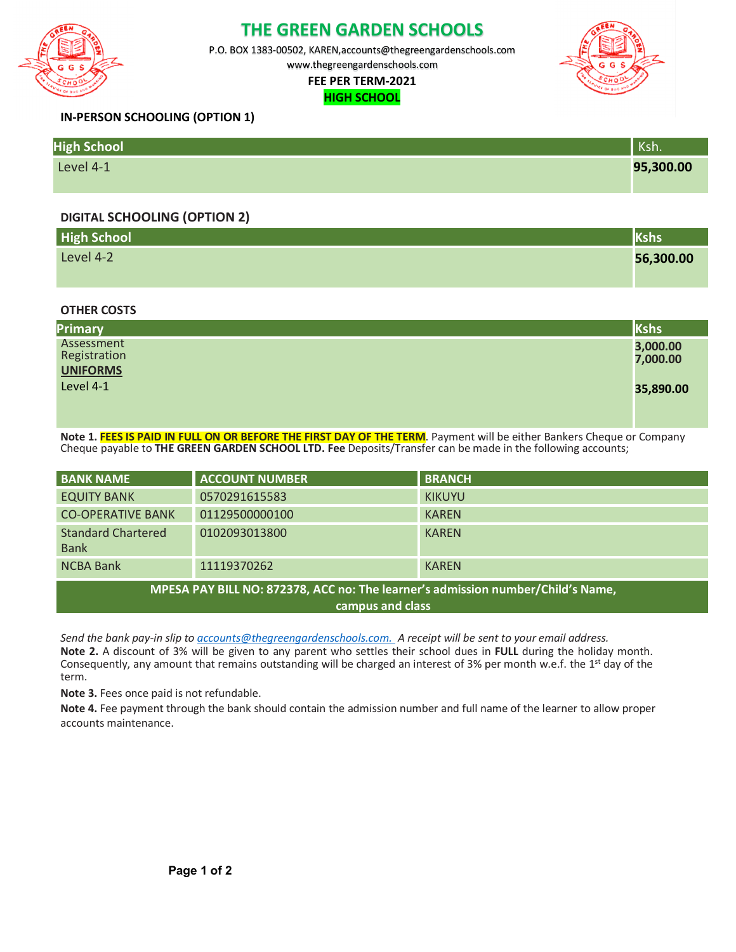

# **THE GREEN GARDEN SCHOOLS**

P.O. BOX 1383-00502, KAREN,accounts@thegreengardenschools.com

www.thegreengardenschools.com

#### **FEE PER TERM-2021 HIGH SCHOOL**



## **IN-PERSON SCHOOLING (OPTION 1)**

| <b>High School</b> | Ksh.      |
|--------------------|-----------|
| Level 4-1          | 95,300.00 |

## **DIGITAL SCHOOLING (OPTION 2)**

| <b>High School</b> |           |
|--------------------|-----------|
| Level 4-2          | 56,300.00 |
|                    |           |

## **OTHER COSTS**

| Primary                    | Kshs                 |
|----------------------------|----------------------|
| Assessment<br>Registration | 3,000.00<br>7,000.00 |
| <b>UNIFORMS</b>            |                      |
| Level 4-1                  | 35,890.00            |
|                            |                      |

**Note 1. FEES IS PAID IN FULL ON OR BEFORE THE FIRST DAY OF THE TERM**. Payment will be either Bankers Cheque or Company Cheque payable to **THE GREEN GARDEN SCHOOL LTD. Fee** Deposits/Transfer can be made in the following accounts;

| <b>BANK NAME</b>                                                                                    | <b>ACCOUNT NUMBER</b> | <b>BRANCH</b> |  |
|-----------------------------------------------------------------------------------------------------|-----------------------|---------------|--|
| <b>EQUITY BANK</b>                                                                                  | 0570291615583         | <b>KIKUYU</b> |  |
| <b>CO-OPERATIVE BANK</b>                                                                            | 01129500000100        | <b>KAREN</b>  |  |
| <b>Standard Chartered</b><br><b>Bank</b>                                                            | 0102093013800         | <b>KAREN</b>  |  |
| <b>NCBA Bank</b>                                                                                    | 11119370262           | <b>KAREN</b>  |  |
| MPESA PAY BILL NO: 872378, ACC no: The learner's admission number/Child's Name,<br>campus and class |                       |               |  |

*Send the bank pay-in slip to accounts@thegreengardenschools.com. A receipt will be sent to your email address.* **Note 2.** A discount of 3% will be given to any parent who settles their school dues in **FULL** during the holiday month. Consequently, any amount that remains outstanding will be charged an interest of 3% per month w.e.f. the  $1<sup>st</sup>$  day of the term.

**Note 3.** Fees once paid is not refundable.

**Note 4.** Fee payment through the bank should contain the admission number and full name of the learner to allow proper accounts maintenance.